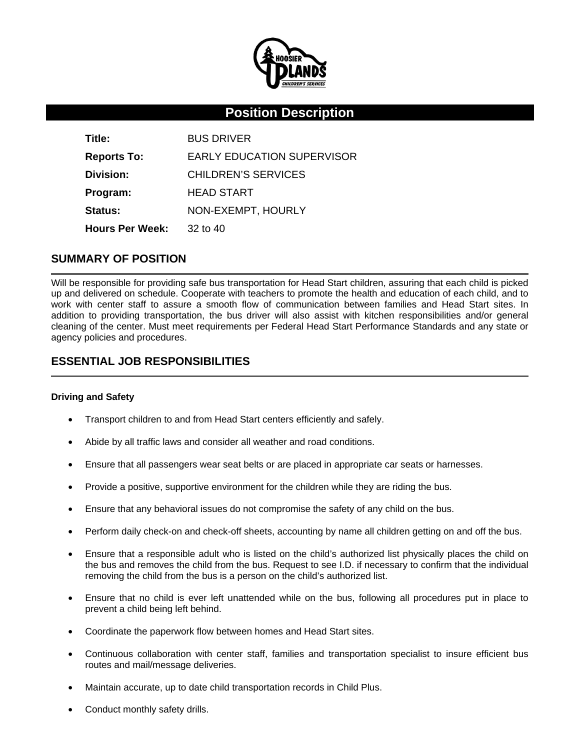

# **Position Description**

| Title:                 | <b>BUS DRIVER</b>                 |
|------------------------|-----------------------------------|
| <b>Reports To:</b>     | <b>EARLY EDUCATION SUPERVISOR</b> |
| Division:              | CHILDREN'S SERVICES               |
| Program:               | <b>HEAD START</b>                 |
| <b>Status:</b>         | NON-EXEMPT, HOURLY                |
| <b>Hours Per Week:</b> | $32$ to $40$                      |

### **SUMMARY OF POSITION**

Will be responsible for providing safe bus transportation for Head Start children, assuring that each child is picked up and delivered on schedule. Cooperate with teachers to promote the health and education of each child, and to work with center staff to assure a smooth flow of communication between families and Head Start sites. In addition to providing transportation, the bus driver will also assist with kitchen responsibilities and/or general cleaning of the center. Must meet requirements per Federal Head Start Performance Standards and any state or agency policies and procedures.

# **ESSENTIAL JOB RESPONSIBILITIES**

#### **Driving and Safety**

- Transport children to and from Head Start centers efficiently and safely.
- Abide by all traffic laws and consider all weather and road conditions.
- Ensure that all passengers wear seat belts or are placed in appropriate car seats or harnesses.
- Provide a positive, supportive environment for the children while they are riding the bus.
- Ensure that any behavioral issues do not compromise the safety of any child on the bus.
- Perform daily check-on and check-off sheets, accounting by name all children getting on and off the bus.
- Ensure that a responsible adult who is listed on the child's authorized list physically places the child on the bus and removes the child from the bus. Request to see I.D. if necessary to confirm that the individual removing the child from the bus is a person on the child's authorized list.
- Ensure that no child is ever left unattended while on the bus, following all procedures put in place to prevent a child being left behind.
- Coordinate the paperwork flow between homes and Head Start sites.
- Continuous collaboration with center staff, families and transportation specialist to insure efficient bus routes and mail/message deliveries.
- Maintain accurate, up to date child transportation records in Child Plus.
- Conduct monthly safety drills.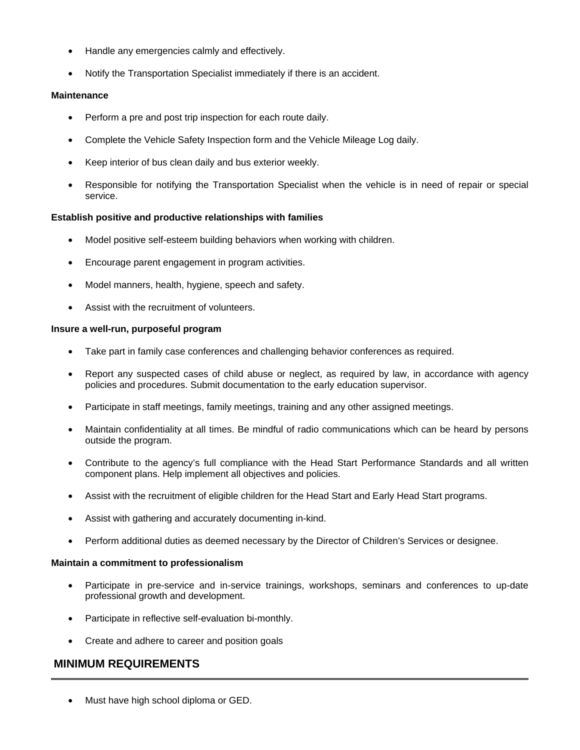- Handle any emergencies calmly and effectively.
- Notify the Transportation Specialist immediately if there is an accident.

#### **Maintenance**

- Perform a pre and post trip inspection for each route daily.
- Complete the Vehicle Safety Inspection form and the Vehicle Mileage Log daily.
- Keep interior of bus clean daily and bus exterior weekly.
- Responsible for notifying the Transportation Specialist when the vehicle is in need of repair or special service.

#### **Establish positive and productive relationships with families**

- Model positive self-esteem building behaviors when working with children.
- Encourage parent engagement in program activities.
- Model manners, health, hygiene, speech and safety.
- Assist with the recruitment of volunteers.

#### **Insure a well-run, purposeful program**

- Take part in family case conferences and challenging behavior conferences as required.
- Report any suspected cases of child abuse or neglect, as required by law, in accordance with agency policies and procedures. Submit documentation to the early education supervisor.
- Participate in staff meetings, family meetings, training and any other assigned meetings.
- Maintain confidentiality at all times. Be mindful of radio communications which can be heard by persons outside the program.
- Contribute to the agency's full compliance with the Head Start Performance Standards and all written component plans. Help implement all objectives and policies.
- Assist with the recruitment of eligible children for the Head Start and Early Head Start programs.
- Assist with gathering and accurately documenting in-kind.
- Perform additional duties as deemed necessary by the Director of Children's Services or designee.

#### **Maintain a commitment to professionalism**

- Participate in pre-service and in-service trainings, workshops, seminars and conferences to up-date professional growth and development.
- Participate in reflective self-evaluation bi-monthly.
- Create and adhere to career and position goals

## **MINIMUM REQUIREMENTS**

• Must have high school diploma or GED.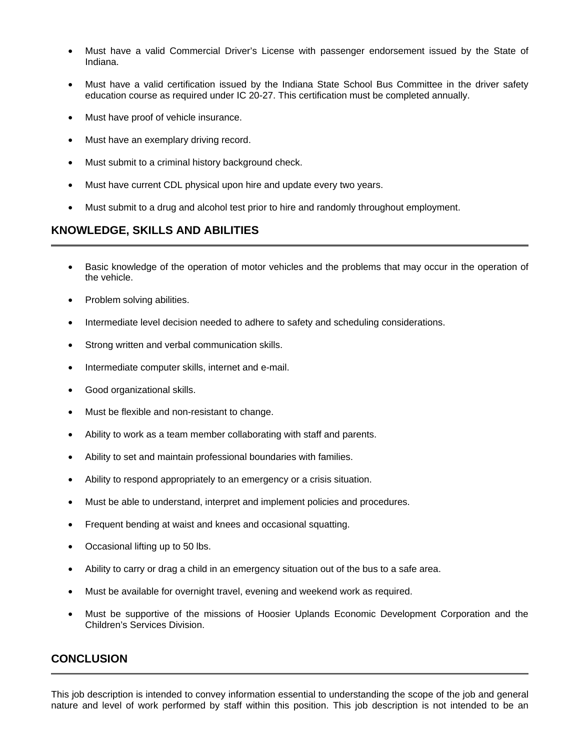- Must have a valid Commercial Driver's License with passenger endorsement issued by the State of Indiana.
- Must have a valid certification issued by the Indiana State School Bus Committee in the driver safety education course as required under IC 20-27. This certification must be completed annually.
- Must have proof of vehicle insurance.
- Must have an exemplary driving record.
- Must submit to a criminal history background check.
- Must have current CDL physical upon hire and update every two years.
- Must submit to a drug and alcohol test prior to hire and randomly throughout employment.

## **KNOWLEDGE, SKILLS AND ABILITIES**

- Basic knowledge of the operation of motor vehicles and the problems that may occur in the operation of the vehicle.
- Problem solving abilities.
- Intermediate level decision needed to adhere to safety and scheduling considerations.
- Strong written and verbal communication skills.
- Intermediate computer skills, internet and e-mail.
- Good organizational skills.
- Must be flexible and non-resistant to change.
- Ability to work as a team member collaborating with staff and parents.
- Ability to set and maintain professional boundaries with families.
- Ability to respond appropriately to an emergency or a crisis situation.
- Must be able to understand, interpret and implement policies and procedures.
- Frequent bending at waist and knees and occasional squatting.
- Occasional lifting up to 50 lbs.
- Ability to carry or drag a child in an emergency situation out of the bus to a safe area.
- Must be available for overnight travel, evening and weekend work as required.
- Must be supportive of the missions of Hoosier Uplands Economic Development Corporation and the Children's Services Division.

### **CONCLUSION**

This job description is intended to convey information essential to understanding the scope of the job and general nature and level of work performed by staff within this position. This job description is not intended to be an